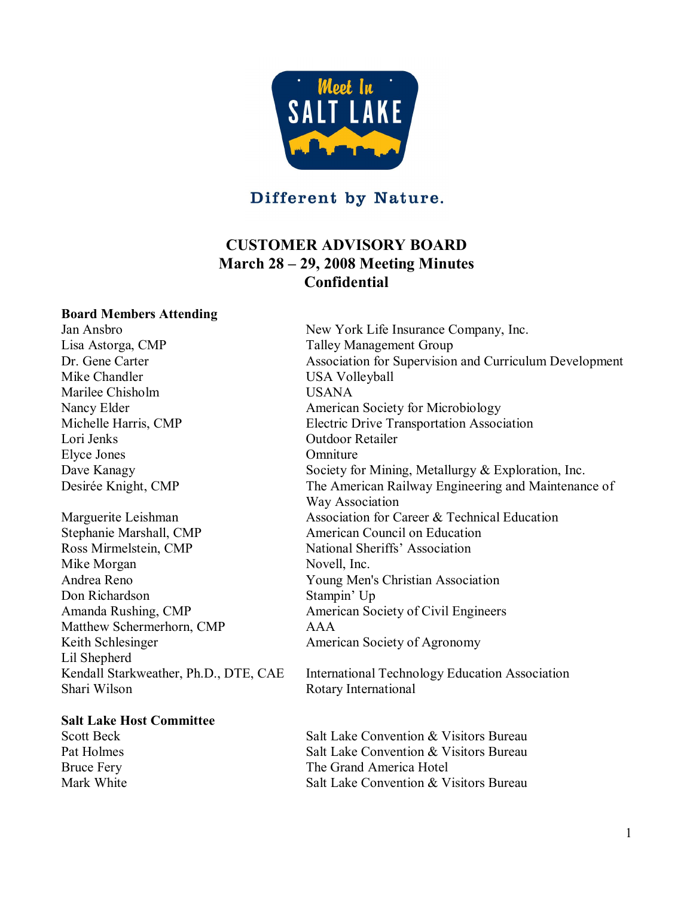

Different by Nature.

# **CUSTOMER ADVISORY BOARD March 28 – 29, 2008 Meeting Minutes Confidential**

#### **Board Members Attending**

Lisa Astorga, CMP Talley Management Group Marilee Chisholm USANA Nancy Elder **American** Society for Microbiology Lori Jenks Outdoor Retailer Elyce Jones Omniture Stephanie Marshall, CMP American Council on Education Ross Mirmelstein, CMP National Sheriffs' Association Mike Morgan Novell, Inc. Don Richardson Stampin' Up Matthew Schermerhorn, CMP AAA Keith Schlesinger **American Society of Agronomy** Lil Shepherd

#### **Salt Lake Host Committee**

Jan Ansbro New York Life Insurance Company, Inc. Dr. Gene Carter **Association for Supervision and Curriculum Development**<br>Mike Chandler **Mike Chandler** USA Volleyball Michelle Harris, CMP Electric Drive Transportation Association Dave Kanagy Society for Mining, Metallurgy & Exploration, Inc. Desirée Knight, CMP The American Railway Engineering and Maintenance of Way Association Marguerite Leishman Massociation for Career & Technical Education Young Men's Christian Association Amanda Rushing, CMP American Society of Civil Engineers Kendall Starkweather, Ph.D., DTE, CAE International Technology Education Association

Shari Wilson Rotary International

Scott Beck Salt Lake Convention & Visitors Bureau Pat Holmes Salt Lake Convention & Visitors Bureau Bruce Fery The Grand America Hotel Mark White **Salt Lake Convention & Visitors Bureau**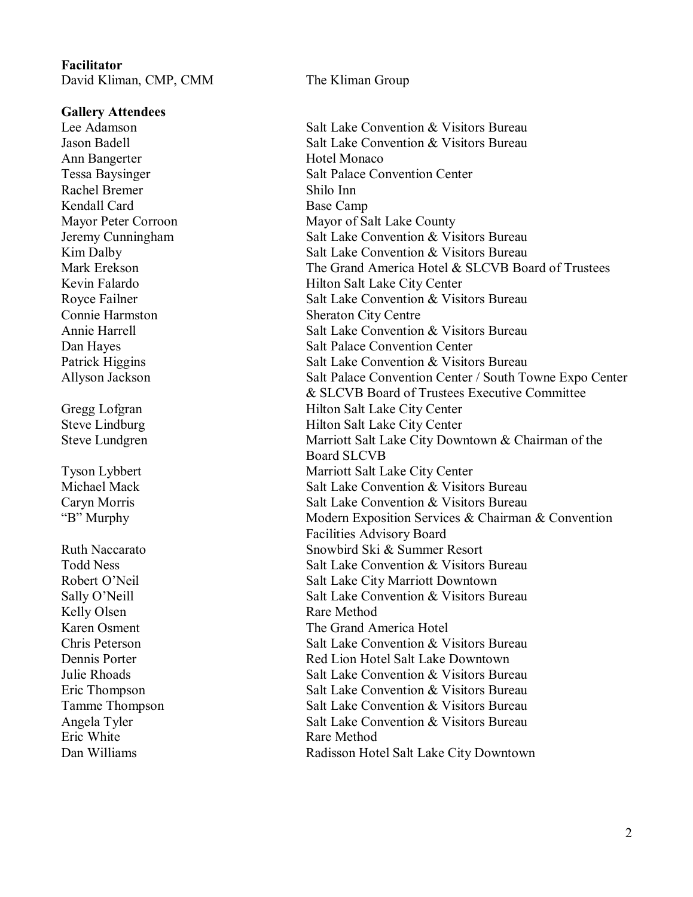#### **Facilitator** David Kliman, CMP, CMM The Kliman Group

**Gallery Attendees**

Ann Bangerter **Hotel Monaco** Rachel Bremer Shilo Inn Kendall Card Base Camp Kelly Olsen Rare Method Eric White **Rare Method** 

Lee Adamson **Salt Lake Convention & Visitors Bureau** Jason Badell Salt Lake Convention & Visitors Bureau Tessa Baysinger Salt Palace Convention Center Mayor Peter Corroon Mayor of Salt Lake County Jeremy Cunningham Salt Lake Convention & Visitors Bureau Kim Dalby Salt Lake Convention & Visitors Bureau Mark Erekson **The Grand America Hotel & SLCVB Board of Trustees** Kevin Falardo Hilton Salt Lake City Center Royce Failner Salt Lake Convention & Visitors Bureau Connie Harmston<br>
Annie Harrell<br>
Salt Lake Convention Salt Lake Convention & Visitors Bureau Dan Hayes Salt Palace Convention Center Patrick Higgins Salt Lake Convention & Visitors Bureau Allyson Jackson Salt Palace Convention Center / South Towne Expo Center & SLCVB Board of Trustees Executive Committee Gregg Lofgran 
Hilton Salt Lake City Center Steve Lindburg Hilton Salt Lake City Center Steve Lundgren Marriott Salt Lake City Downtown & Chairman of the Board SLCVB Tyson Lybbert Marriott Salt Lake City Center<br>Michael Mack Salt Lake Convention & Visito Salt Lake Convention & Visitors Bureau Caryn Morris Salt Lake Convention & Visitors Bureau "B" Murphy Modern Exposition Services & Chairman & Convention Facilities Advisory Board Ruth Naccarato Snowbird Ski & Summer Resort Todd Ness Salt Lake Convention & Visitors Bureau Robert O'Neil Salt Lake City Marriott Downtown Sally O'Neill Salt Lake Convention & Visitors Bureau Karen Osment The Grand America Hotel<br>
Chris Peterson Salt Lake Convention & V Salt Lake Convention & Visitors Bureau Dennis Porter Red Lion Hotel Salt Lake Downtown Julie Rhoads Salt Lake Convention & Visitors Bureau Eric Thompson Salt Lake Convention & Visitors Bureau Tamme Thompson Salt Lake Convention & Visitors Bureau Angela Tyler Salt Lake Convention & Visitors Bureau Dan Williams Radisson Hotel Salt Lake City Downtown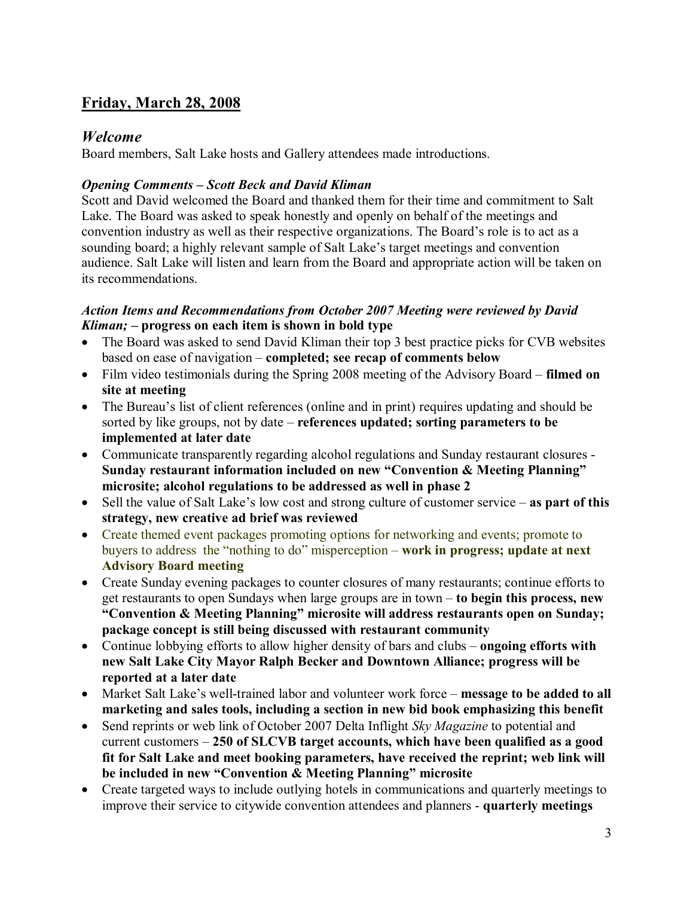# **Friday, March 28, 2008**

# *Welcome*

Board members, Salt Lake hosts and Gallery attendees made introductions.

### *Opening Comments – Scott Beck and David Kliman*

Scott and David welcomed the Board and thanked them for their time and commitment to Salt Lake. The Board was asked to speak honestly and openly on behalf of the meetings and convention industry as well as their respective organizations. The Board's role is to act as a sounding board; a highly relevant sample of Salt Lake's target meetings and convention audience. Salt Lake will listen and learn from the Board and appropriate action will be taken on its recommendations.

### *Action Items and Recommendations from October 2007 Meeting were reviewed by David Kliman; –* **progress on each item is shown in bold type**

- The Board was asked to send David Kliman their top 3 best practice picks for CVB websites based on ease of navigation – **completed; see recap of comments below**
- · Film video testimonials during the Spring 2008 meeting of the Advisory Board **filmed on site at meeting**
- The Bureau's list of client references (online and in print) requires updating and should be sorted by like groups, not by date – **references updated; sorting parameters to be implemented at later date**
- Communicate transparently regarding alcohol regulations and Sunday restaurant closures -**Sunday restaurant information included on new "Convention & Meeting Planning" microsite; alcohol regulations to be addressed as well in phase 2**
- · Sell the value of Salt Lake's low cost and strong culture of customer service **as part of this strategy, new creative ad brief was reviewed**
- Create themed event packages promoting options for networking and events; promote to buyers to address the "nothing to do" misperception – **work in progress; update at next Advisory Board meeting**
- Create Sunday evening packages to counter closures of many restaurants; continue efforts to get restaurants to open Sundays when large groups are in town – **to begin this process, new "Convention & Meeting Planning" microsite will address restaurants open on Sunday; package concept is still being discussed with restaurant community**
- · Continue lobbying efforts to allow higher density of bars and clubs **ongoing efforts with new Salt Lake City Mayor Ralph Becker and Downtown Alliance; progress will be reported at a later date**
- Market Salt Lake's well-trained labor and volunteer work force message to be added to all **marketing and sales tools, including a section in new bid book emphasizing this benefit**
- · Send reprints or web link of October 2007 Delta Inflight *Sky Magazine* to potential and current customers – **250 of SLCVB target accounts, which have been qualified as a good fit for Salt Lake and meet booking parameters, have received the reprint; web link will be included in new "Convention & Meeting Planning" microsite**
- Create targeted ways to include outlying hotels in communications and quarterly meetings to improve their service to citywide convention attendees and planners **quarterly meetings**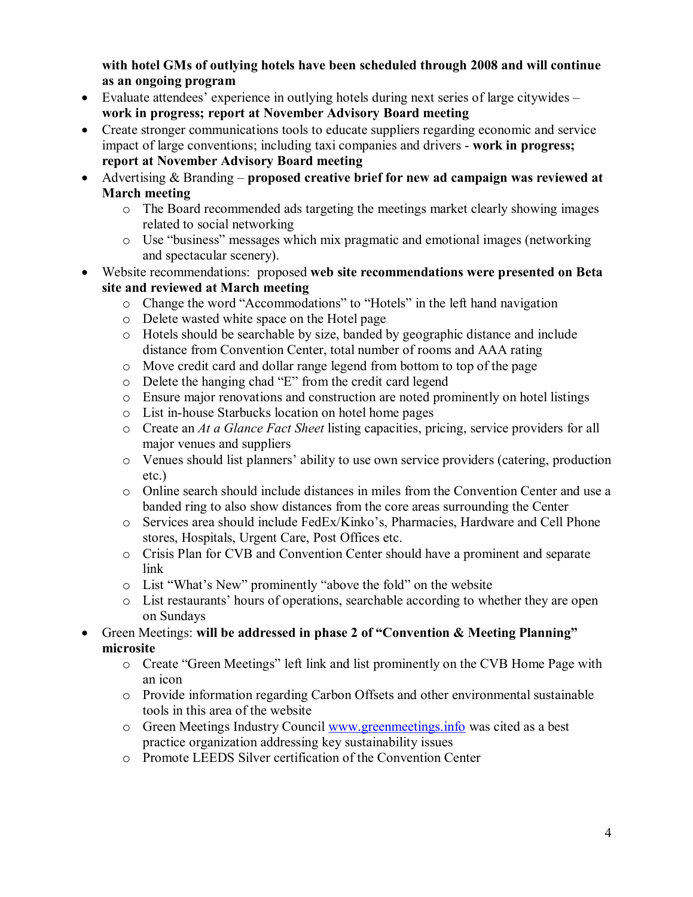**with hotel GMs of outlying hotels have been scheduled through 2008 and will continue as an ongoing program**

- Evaluate attendees' experience in outlying hotels during next series of large citywides **work in progress; report at November Advisory Board meeting**
- · Create stronger communications tools to educate suppliers regarding economic and service impact of large conventions; including taxi companies and drivers - work in progress; **report at November Advisory Board meeting**
- · Advertising & Branding **proposed creative brief for new ad campaign was reviewed at March meeting** 
	- o The Board recommended ads targeting the meetings market clearly showing images related to social networking
	- o Use "business" messages which mix pragmatic and emotional images (networking and spectacular scenery).
- · Website recommendations: proposed **web site recommendations were presented on Beta site and reviewed at March meeting** 
	- o Change the word "Accommodations" to "Hotels" in the left hand navigation
	- o Delete wasted white space on the Hotel page
	- o Hotels should be searchable by size, banded by geographic distance and include distance from Convention Center, total number of rooms and AAA rating
	- o Move credit card and dollar range legend from bottom to top of the page
	- o Delete the hanging chad "E" from the credit card legend
	- o Ensure major renovations and construction are noted prominently on hotel listings
	- o List inhouse Starbucks location on hotel home pages
	- o Create an *At a Glance Fact Sheet* listing capacities, pricing, service providers for all major venues and suppliers
	- o Venues should list planners' ability to use own service providers (catering, production etc.)
	- o Online search should include distances in miles from the Convention Center and use a banded ring to also show distances from the core areas surrounding the Center
	- $\circ$  Services area should include FedEx/Kinko's, Pharmacies, Hardware and Cell Phone stores, Hospitals, Urgent Care, Post Offices etc.
	- o Crisis Plan for CVB and Convention Center should have a prominent and separate link
	- o List "What's New" prominently "above the fold" on the website
	- o List restaurants' hours of operations, searchable according to whether they are open on Sundays
	- · Green Meetings: **will be addressed in phase 2 of "Convention & Meeting Planning" microsite** 
		- o Create "Green Meetings" left link and list prominently on the CVB Home Page with an icon
		- o Provide information regarding Carbon Offsets and other environmental sustainable tools in this area of the website
		- o Green Meetings Industry Council [www.greenmeetings.info](http://www.greenmeetings.info/) was cited as a best practice organization addressing key sustainability issues
		- o Promote LEEDS Silver certification of the Convention Center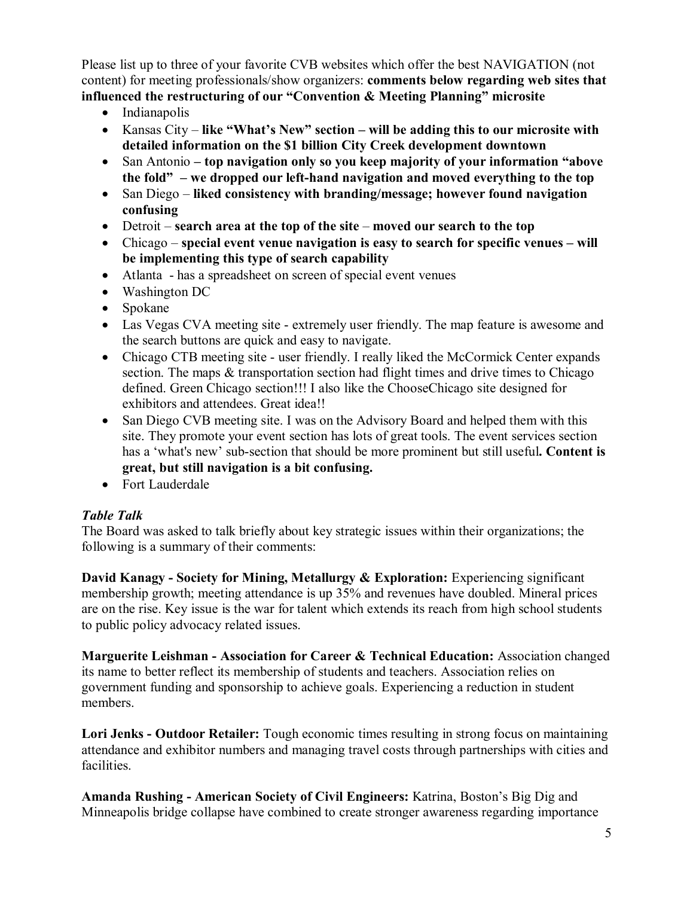Please list up to three of your favorite CVB websites which offer the best NAVIGATION (not content) for meeting professionals/show organizers: **comments below regarding web sites that influenced the restructuring of our "Convention & Meeting Planning" microsite**

- Indianapolis
- · Kansas City **like "What's New" section – will be adding this to our microsite with detailed information on the \$1 billion City Creek development downtown**
- · San Antonio  **top navigation only so you keep majority of your information "above the fold" – we dropped our lefthand navigation and moved everything to the top**
- · San Diego **liked consistency with branding/message; however found navigation confusing**
- · Detroit **search area at the top of the site moved our search to the top**
- · Chicago **special event venue navigation is easy to search for specific venues will be implementing this type of search capability**
- Atlanta has a spreadsheet on screen of special event venues
- Washington DC
- Spokane
- Las Vegas CVA meeting site extremely user friendly. The map feature is awesome and the search buttons are quick and easy to navigate.
- Chicago CTB meeting site user friendly. I really liked the McCormick Center expands section. The maps & transportation section had flight times and drive times to Chicago defined. Green Chicago section!!! I also like the ChooseChicago site designed for exhibitors and attendees. Great idea!!
- San Diego CVB meeting site. I was on the Advisory Board and helped them with this site. They promote your event section has lots of great tools. The event services section has a 'what's new' subsection that should be more prominent but still useful**. Content is great, but still navigation is a bit confusing.**
- Fort Lauderdale

# *Table Talk*

The Board was asked to talk briefly about key strategic issues within their organizations; the following is a summary of their comments:

**David Kanagy Society for Mining, Metallurgy & Exploration:** Experiencing significant membership growth; meeting attendance is up 35% and revenues have doubled. Mineral prices are on the rise. Key issue is the war for talent which extends its reach from high school students to public policy advocacy related issues.

**Marguerite Leishman Association for Career & Technical Education:** Association changed its name to better reflect its membership of students and teachers. Association relies on government funding and sponsorship to achieve goals. Experiencing a reduction in student members.

**Lori Jenks Outdoor Retailer:** Tough economic times resulting in strong focus on maintaining attendance and exhibitor numbers and managing travel costs through partnerships with cities and facilities.

**Amanda Rushing American Society of Civil Engineers:** Katrina, Boston's Big Dig and Minneapolis bridge collapse have combined to create stronger awareness regarding importance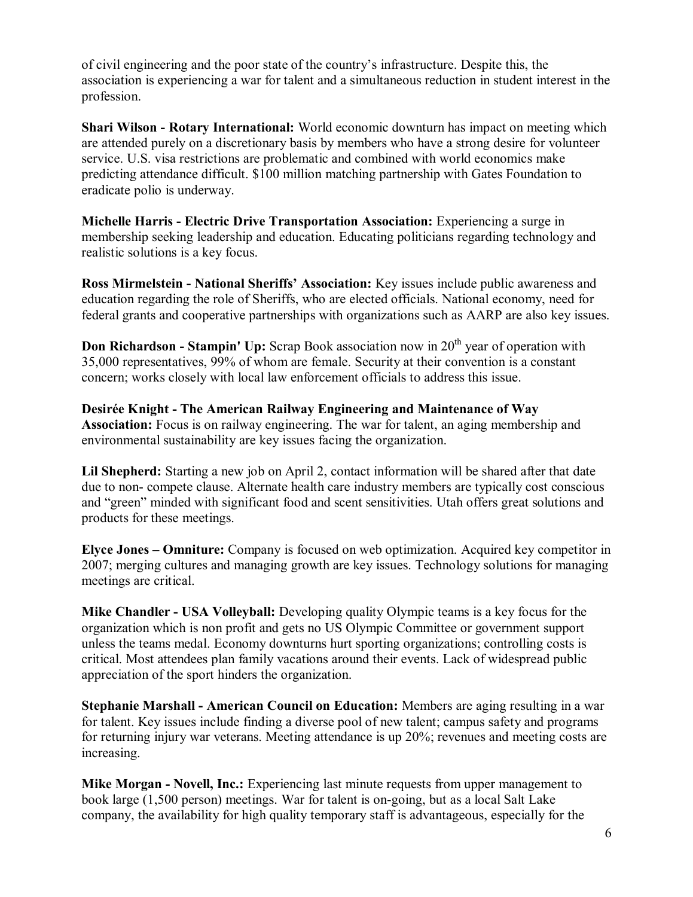of civil engineering and the poor state of the country's infrastructure. Despite this, the association is experiencing a war for talent and a simultaneous reduction in student interest in the profession.

**Shari Wilson - Rotary International:** World economic downturn has impact on meeting which are attended purely on a discretionary basis by members who have a strong desire for volunteer service. U.S. visa restrictions are problematic and combined with world economics make predicting attendance difficult. \$100 million matching partnership with Gates Foundation to eradicate polio is underway.

**Michelle Harris Electric Drive Transportation Association:** Experiencing a surge in membership seeking leadership and education. Educating politicians regarding technology and realistic solutions is a key focus.

**Ross Mirmelstein National Sheriffs' Association:** Key issues include public awareness and education regarding the role of Sheriffs, who are elected officials. National economy, need for federal grants and cooperative partnerships with organizations such as AARP are also key issues.

**Don Richardson - Stampin' Up:** Scrap Book association now in 20<sup>th</sup> year of operation with 35,000 representatives, 99% of whom are female. Security at their convention is a constant concern; works closely with local law enforcement officials to address this issue.

**Desirée Knight The American Railway Engineering and Maintenance of Way Association:** Focus is on railway engineering. The war for talent, an aging membership and environmental sustainability are key issues facing the organization.

**Lil Shepherd:** Starting a new job on April 2, contact information will be shared after that date due to non-compete clause. Alternate health care industry members are typically cost conscious and "green" minded with significant food and scent sensitivities. Utah offers great solutions and products for these meetings.

**Elyce Jones – Omniture:** Company is focused on web optimization. Acquired key competitor in 2007; merging cultures and managing growth are key issues. Technology solutions for managing meetings are critical.

**Mike Chandler USA Volleyball:** Developing quality Olympic teams is a key focus for the organization which is non profit and gets no US Olympic Committee or government support unless the teams medal. Economy downturns hurt sporting organizations; controlling costs is critical. Most attendees plan family vacations around their events. Lack of widespread public appreciation of the sport hinders the organization.

**Stephanie Marshall American Council on Education:** Members are aging resulting in a war for talent. Key issues include finding a diverse pool of new talent; campus safety and programs for returning injury war veterans. Meeting attendance is up 20%; revenues and meeting costs are increasing.

**Mike Morgan - Novell, Inc.:** Experiencing last minute requests from upper management to book large (1,500 person) meetings. War for talent is on-going, but as a local Salt Lake company, the availability for high quality temporary staff is advantageous, especially for the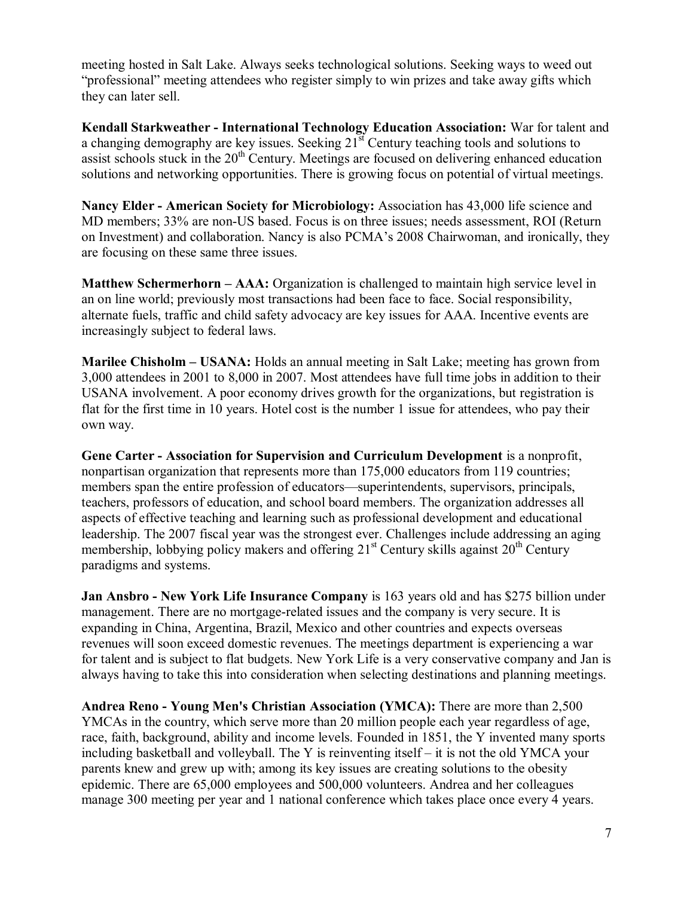meeting hosted in Salt Lake. Always seeks technological solutions. Seeking ways to weed out "professional" meeting attendees who register simply to win prizes and take away gifts which they can later sell.

**Kendall Starkweather International Technology Education Association:** War for talent and a changing demography are key issues. Seeking  $21<sup>st</sup>$  Century teaching tools and solutions to assist schools stuck in the 20<sup>th</sup> Century. Meetings are focused on delivering enhanced education solutions and networking opportunities. There is growing focus on potential of virtual meetings.

**Nancy Elder American Society for Microbiology:** Association has 43,000 life science and MD members; 33% are non-US based. Focus is on three issues; needs assessment, ROI (Return on Investment) and collaboration. Nancy is also PCMA's 2008 Chairwoman, and ironically, they are focusing on these same three issues.

**Matthew Schermerhorn – AAA:** Organization is challenged to maintain high service level in an on line world; previously most transactions had been face to face. Social responsibility, alternate fuels, traffic and child safety advocacy are key issues for AAA. Incentive events are increasingly subject to federal laws.

**Marilee Chisholm – USANA:** Holds an annual meeting in Salt Lake; meeting has grown from 3,000 attendees in 2001 to 8,000 in 2007. Most attendees have full time jobs in addition to their USANA involvement. A poor economy drives growth for the organizations, but registration is flat for the first time in 10 years. Hotel cost is the number 1 issue for attendees, who pay their own way.

**Gene Carter Association for Supervision and Curriculum Development** is a nonprofit, nonpartisan organization that represents more than 175,000 educators from 119 countries; members span the entire profession of educators—superintendents, supervisors, principals, teachers, professors of education, and school board members. The organization addresses all aspects of effective teaching and learning such as professional development and educational leadership. The 2007 fiscal year was the strongest ever. Challenges include addressing an aging membership, lobbying policy makers and offering  $21<sup>st</sup>$  Century skills against  $20<sup>th</sup>$  Century paradigms and systems.

**Jan Ansbro - New York Life Insurance Company** is 163 years old and has \$275 billion under management. There are no mortgage-related issues and the company is very secure. It is expanding in China, Argentina, Brazil, Mexico and other countries and expects overseas revenues will soon exceed domestic revenues. The meetings department is experiencing a war for talent and is subject to flat budgets. New York Life is a very conservative company and Jan is always having to take this into consideration when selecting destinations and planning meetings.

**Andrea Reno Young Men's Christian Association (YMCA):** There are more than 2,500 YMCAs in the country, which serve more than 20 million people each year regardless of age, race, faith, background, ability and income levels. Founded in 1851, the Y invented many sports including basketball and volleyball. The Y is reinventing itself – it is not the old YMCA your parents knew and grew up with; among its key issues are creating solutions to the obesity epidemic. There are 65,000 employees and 500,000 volunteers. Andrea and her colleagues manage 300 meeting per year and 1 national conference which takes place once every 4 years.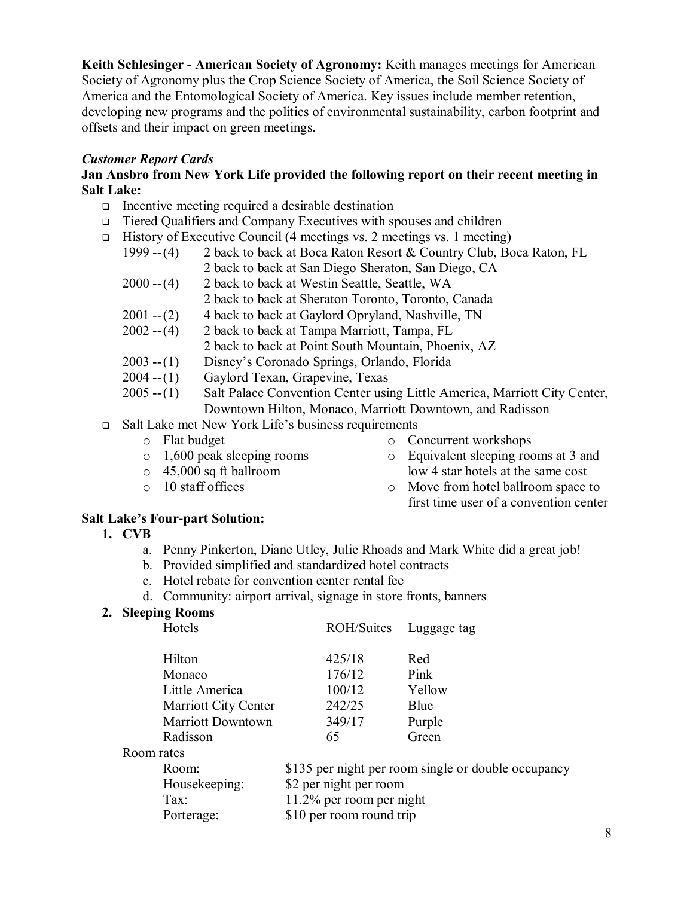**Keith Schlesinger American Society of Agronomy:** Keith manages meetings for American Society of Agronomy plus the Crop Science Society of America, the Soil Science Society of America and the Entomological Society of America. Key issues include member retention, developing new programs and the politics of environmental sustainability, carbon footprint and offsets and their impact on green meetings.

### *Customer Report Cards*

#### **Jan Ansbro from New York Life provided the following report on their recent meeting in Salt Lake:**

- $\Box$  Incentive meeting required a desirable destination
- <sup>q</sup> Tiered Qualifiers and Company Executives with spouses and children
- $\Box$  History of Executive Council (4 meetings vs. 2 meetings vs. 1 meeting) 1999 -- (4) 2 back to back at Boca Raton Resort & Country Club, Boca Raton, FL 2 back to back at San Diego Sheraton, San Diego, CA  $2000 - (4)$  2 back to back at Westin Seattle, Seattle, WA 2 back to back at Sheraton Toronto, Toronto, Canada 2001  $-(2)$  4 back to back at Gaylord Opryland, Nashville, TN 2002  $-(4)$  2 back to back at Tampa Marriott, Tampa, FL 2 back to back at Tampa Marriott, Tampa, FL 2 back to back at Point South Mountain, Phoenix, AZ
	- 2003 -- (1) Disney's Coronado Springs, Orlando, Florida
	- $2004 (1)$  Gaylord Texan, Grapevine, Texas
	- 2005 -- (1) Salt Palace Convention Center using Little America, Marriott City Center, Downtown Hilton, Monaco, Marriott Downtown, and Radisson
- <sup>q</sup> Salt Lake met New York Life's business requirements
	- o Flat budget
	- o 1,600 peak sleeping rooms
	- o 45,000 sq ft ballroom
	- o 10 staff offices
- o Concurrent workshops
- o Equivalent sleeping rooms at 3 and low 4 star hotels at the same cost
- o Move from hotel ballroom space to first time user of a convention center

### **Salt Lake's Four-part Solution:**

- **1. CVB**
	- a. Penny Pinkerton, Diane Utley, Julie Rhoads and Mark White did a great job!
	- b. Provided simplified and standardized hotel contracts
	- c. Hotel rebate for convention center rental fee
	- d. Community: airport arrival, signage in store fronts, banners

# **2. Sleeping Rooms**

| Hotels               |                                     | ROH/Suites | Luggage tag |
|----------------------|-------------------------------------|------------|-------------|
| Hilton               |                                     | 425/18     | Red         |
| Monaco               |                                     | 176/12     | Pink        |
| Little America       |                                     | 100/12     | Yellow      |
| Marriott City Center |                                     | 242/25     | Blue        |
| Marriott Downtown    |                                     | 349/17     | Purple      |
| Radisson             |                                     | 65         | Green       |
| Room rates           |                                     |            |             |
| $\mathbf{r}$         | $\bigwedge$ $\bigwedge$ $\bigwedge$ | $\sim$ 1.  | $\cdot$ 1   |

| Room:         | \$135 per night per room single or double occupancy |
|---------------|-----------------------------------------------------|
| Housekeeping: | \$2 per night per room                              |
| Tax:          | $11.2\%$ per room per night                         |
| Porterage:    | \$10 per room round trip                            |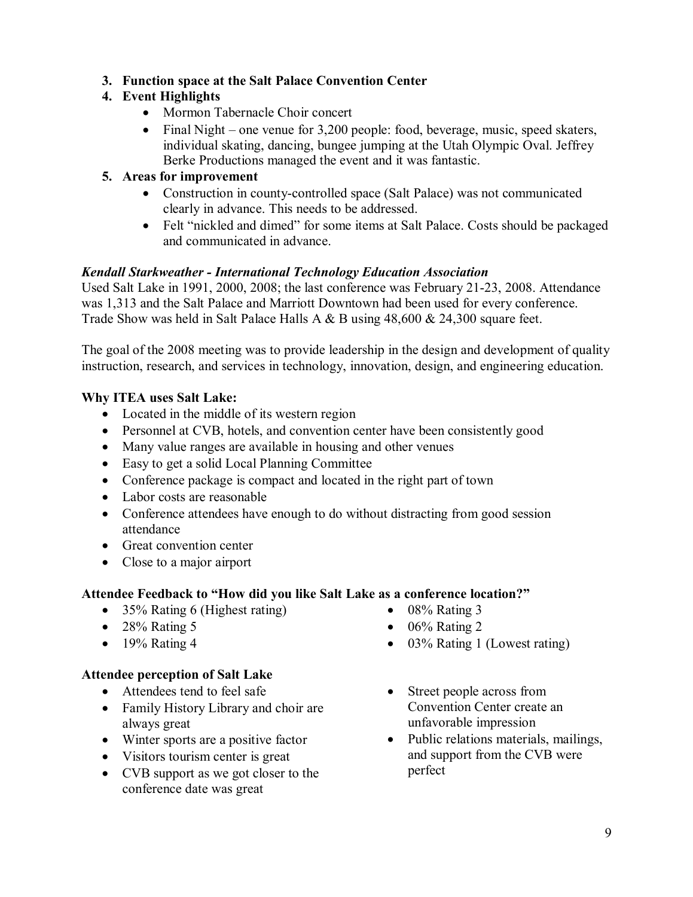### **3. Function space at the Salt Palace Convention Center**

# **4. Event Highlights**

- · Mormon Tabernacle Choir concert
- Final Night one venue for 3,200 people: food, beverage, music, speed skaters, individual skating, dancing, bungee jumping at the Utah Olympic Oval. Jeffrey Berke Productions managed the event and it was fantastic.

### **5. Areas for improvement**

- Construction in county-controlled space (Salt Palace) was not communicated clearly in advance. This needs to be addressed.
- · Felt "nickled and dimed" for some items at Salt Palace. Costs should be packaged and communicated in advance.

### *Kendall Starkweather International Technology Education Association*

Used Salt Lake in 1991, 2000, 2008; the last conference was February 21-23, 2008. Attendance was 1,313 and the Salt Palace and Marriott Downtown had been used for every conference. Trade Show was held in Salt Palace Halls A & B using 48,600 & 24,300 square feet.

The goal of the 2008 meeting was to provide leadership in the design and development of quality instruction, research, and services in technology, innovation, design, and engineering education.

### **Why ITEA uses Salt Lake:**

- Located in the middle of its western region
- Personnel at CVB, hotels, and convention center have been consistently good
- Many value ranges are available in housing and other venues
- · Easy to get a solid Local Planning Committee
- Conference package is compact and located in the right part of town
- Labor costs are reasonable
- Conference attendees have enough to do without distracting from good session attendance
- Great convention center
- Close to a major airport

# **Attendee Feedback to "How did you like Salt Lake as a conference location?"**

- 35% Rating 6 (Highest rating)
- $\bullet$  28% Rating 5
- $\bullet$  19% Rating 4

# **Attendee perception of Salt Lake**

- Attendees tend to feel safe
- Family History Library and choir are always great
- Winter sports are a positive factor
- Visitors tourism center is great
- CVB support as we got closer to the conference date was great
- · Street people across from Convention Center create an unfavorable impression

• 03% Rating 1 (Lowest rating)

 $\bullet$  08% Rating 3  $\bullet$  06% Rating 2

• Public relations materials, mailings, and support from the CVB were perfect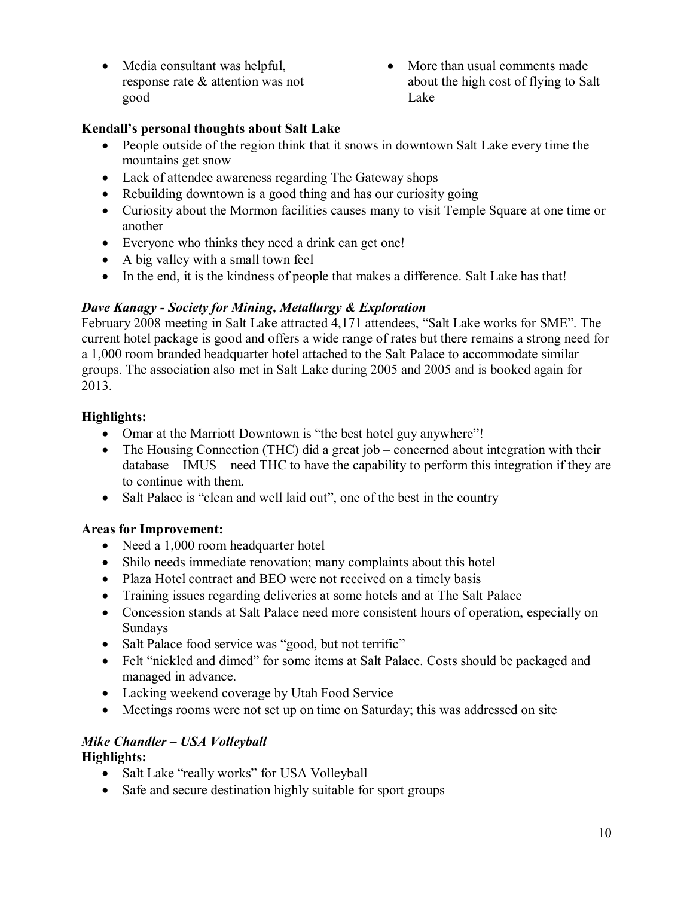- Media consultant was helpful, response rate & attention was not good
- More than usual comments made about the high cost of flying to Salt Lake

# **Kendall's personal thoughts about Salt Lake**

- People outside of the region think that it snows in downtown Salt Lake every time the mountains get snow
- Lack of attendee awareness regarding The Gateway shops
- Rebuilding downtown is a good thing and has our curiosity going
- · Curiosity about the Mormon facilities causes many to visit Temple Square at one time or another
- Everyone who thinks they need a drink can get one!
- A big valley with a small town feel
- In the end, it is the kindness of people that makes a difference. Salt Lake has that!

# *Dave Kanagy Society for Mining, Metallurgy & Exploration*

February 2008 meeting in Salt Lake attracted 4,171 attendees, "Salt Lake works for SME". The current hotel package is good and offers a wide range of rates but there remains a strong need for a 1,000 room branded headquarter hotel attached to the Salt Palace to accommodate similar groups. The association also met in Salt Lake during 2005 and 2005 and is booked again for 2013.

# **Highlights:**

- Omar at the Marriott Downtown is "the best hotel guy anywhere"!
- The Housing Connection (THC) did a great job concerned about integration with their database – IMUS – need THC to have the capability to perform this integration if they are to continue with them.
- Salt Palace is "clean and well laid out", one of the best in the country

# **Areas for Improvement:**

- Need a 1,000 room headquarter hotel
- Shilo needs immediate renovation; many complaints about this hotel
- Plaza Hotel contract and BEO were not received on a timely basis
- Training issues regarding deliveries at some hotels and at The Salt Palace
- · Concession stands at Salt Palace need more consistent hours of operation, especially on Sundays
- Salt Palace food service was "good, but not terrific"
- Felt "nickled and dimed" for some items at Salt Palace. Costs should be packaged and managed in advance.
- Lacking weekend coverage by Utah Food Service
- · Meetings rooms were not set up on time on Saturday; this was addressed on site

# *Mike Chandler – USA Volleyball*

# **Highlights:**

- Salt Lake "really works" for USA Volleyball
- Safe and secure destination highly suitable for sport groups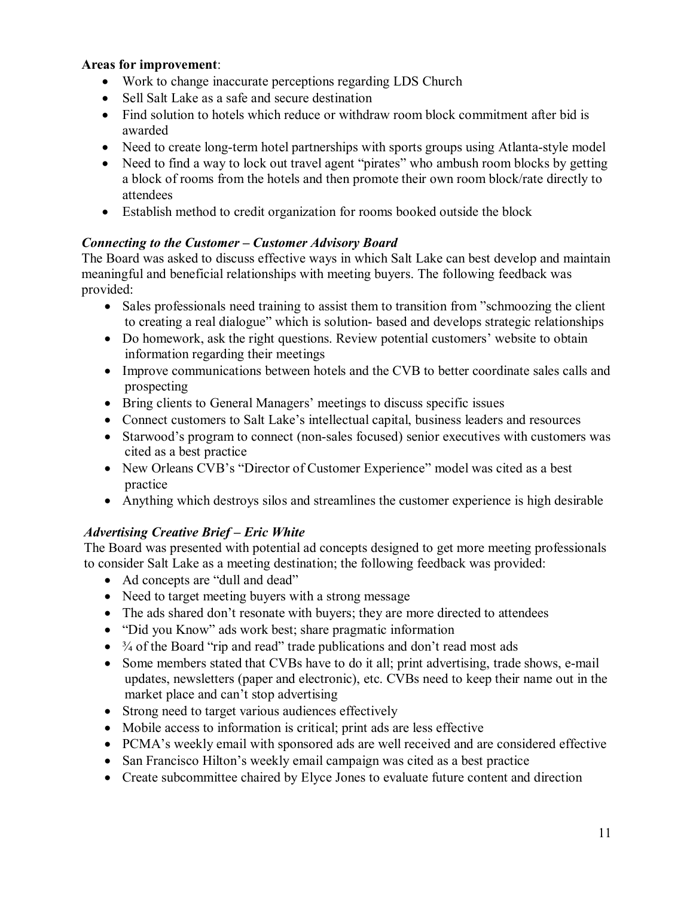### **Areas for improvement**:

- Work to change inaccurate perceptions regarding LDS Church
- Sell Salt Lake as a safe and secure destination
- Find solution to hotels which reduce or withdraw room block commitment after bid is awarded
- Need to create long-term hotel partnerships with sports groups using Atlanta-style model
- Need to find a way to lock out travel agent "pirates" who ambush room blocks by getting a block of rooms from the hotels and then promote their own room block/rate directly to attendees
- Establish method to credit organization for rooms booked outside the block

### *Connecting to the Customer – Customer Advisory Board*

The Board was asked to discuss effective ways in which Salt Lake can best develop and maintain meaningful and beneficial relationships with meeting buyers. The following feedback was provided:

- Sales professionals need training to assist them to transition from "schmoozing the client" to creating a real dialogue" which is solution-based and develops strategic relationships
- Do homework, ask the right questions. Review potential customers' website to obtain information regarding their meetings
- · Improve communications between hotels and the CVB to better coordinate sales calls and prospecting
- · Bring clients to General Managers' meetings to discuss specific issues
- Connect customers to Salt Lake's intellectual capital, business leaders and resources
- Starwood's program to connect (non-sales focused) senior executives with customers was cited as a best practice
- · New Orleans CVB's "Director of Customer Experience" model was cited as a best practice
- Anything which destroys silos and streamlines the customer experience is high desirable

# *Advertising Creative Brief – Eric White*

The Board was presented with potential ad concepts designed to get more meeting professionals to consider Salt Lake as a meeting destination; the following feedback was provided:

- · Ad concepts are "dull and dead"
- Need to target meeting buyers with a strong message
- The ads shared don't resonate with buyers; they are more directed to attendees
- "Did you Know" ads work best; share pragmatic information
- $\frac{3}{4}$  of the Board "rip and read" trade publications and don't read most ads
- Some members stated that CVBs have to do it all; print advertising, trade shows, e-mail updates, newsletters (paper and electronic), etc. CVBs need to keep their name out in the market place and can't stop advertising
- Strong need to target various audiences effectively
- · Mobile access to information is critical; print ads are less effective
- · PCMA's weekly email with sponsored ads are well received and are considered effective
- San Francisco Hilton's weekly email campaign was cited as a best practice
- Create subcommittee chaired by Elyce Jones to evaluate future content and direction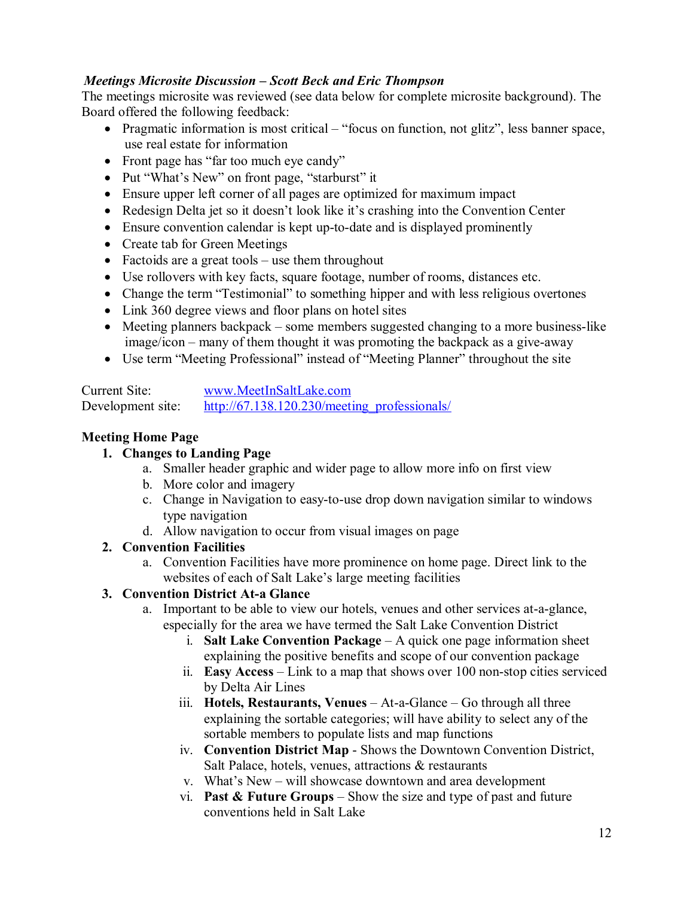### *Meetings Microsite Discussion – Scott Beck and Eric Thompson*

The meetings microsite was reviewed (see data below for complete microsite background). The Board offered the following feedback:

- · Pragmatic information is most critical "focus on function, not glitz", less banner space, use real estate for information
- Front page has "far too much eye candy"
- · Put "What's New" on front page, "starburst" it
- · Ensure upper left corner of all pages are optimized for maximum impact
- · Redesign Delta jet so it doesn't look like it's crashing into the Convention Center
- Ensure convention calendar is kept up-to-date and is displayed prominently
- Create tab for Green Meetings
- Factoids are a great tools use them throughout
- · Use rollovers with key facts, square footage, number of rooms, distances etc.
- Change the term "Testimonial" to something hipper and with less religious overtones
- Link 360 degree views and floor plans on hotel sites
- Meeting planners backpack some members suggested changing to a more business-like  $image/icon - many of them thought it was promoting the backpack as a give-away$
- · Use term "Meeting Professional" instead of "Meeting Planner" throughout the site

Current Site: [www.MeetInSaltLake.com](http://www.meetinsaltlake.com/) Development site: [http://67.138.120.230/meeting\\_professionals/](http://67.138.120.230/meeting_professionals/)

### **Meeting Home Page**

### **1. Changes to Landing Page**

- a. Smaller header graphic and wider page to allow more info on first view
- b. More color and imagery
- c. Change in Navigation to easy-to-use drop down navigation similar to windows type navigation
- d. Allow navigation to occur from visual images on page

### **2. Convention Facilities**

a. Convention Facilities have more prominence on home page. Direct link to the websites of each of Salt Lake's large meeting facilities

# **3. Convention District Ata Glance**

- a. Important to be able to view our hotels, venues and other services at-a-glance, especially for the area we have termed the Salt Lake Convention District
	- i. **Salt Lake Convention Package** A quick one page information sheet explaining the positive benefits and scope of our convention package
	- ii. **Easy Access** Link to a map that shows over 100 nonstop cities serviced by Delta Air Lines
	- iii. **Hotels, Restaurants, Venues** At-a-Glance Go through all three explaining the sortable categories; will have ability to select any of the sortable members to populate lists and map functions
	- iv. **Convention District Map** Shows the Downtown Convention District, Salt Palace, hotels, venues, attractions & restaurants
	- v. What's New will showcase downtown and area development
	- vi. **Past & Future Groups** Show the size and type of past and future conventions held in Salt Lake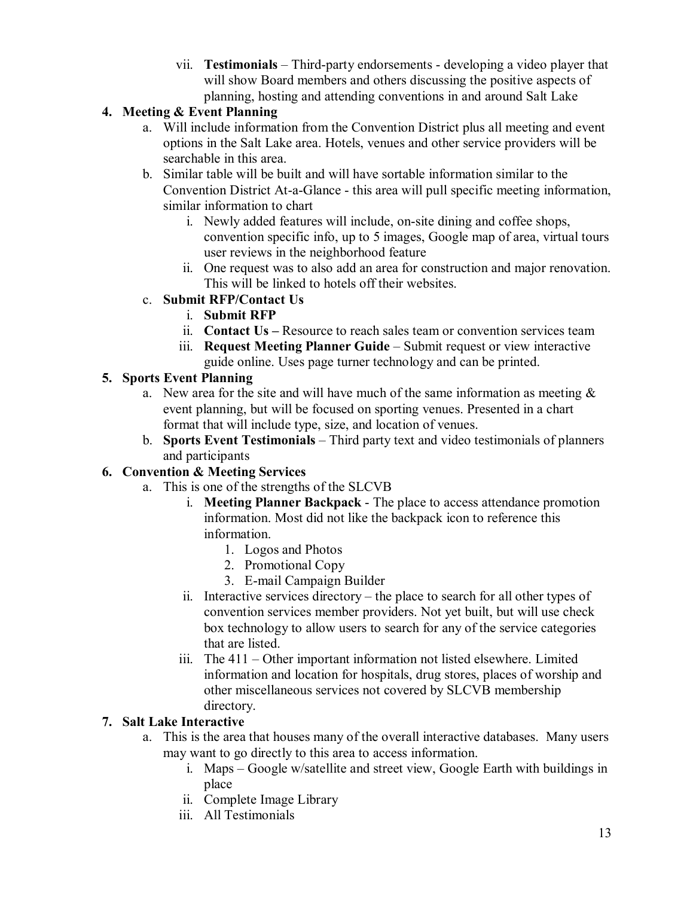vii. **Testimonials** – Third-party endorsements - developing a video player that will show Board members and others discussing the positive aspects of planning, hosting and attending conventions in and around Salt Lake

# **4. Meeting & Event Planning**

- a. Will include information from the Convention District plus all meeting and event options in the Salt Lake area. Hotels, venues and other service providers will be searchable in this area.
- b. Similar table will be built and will have sortable information similar to the Convention District At-a-Glance - this area will pull specific meeting information, similar information to chart
	- i. Newly added features will include, on-site dining and coffee shops, convention specific info, up to 5 images, Google map of area, virtual tours user reviews in the neighborhood feature
	- ii. One request was to also add an area for construction and major renovation. This will be linked to hotels off their websites.
- c. **Submit RFP/Contact Us**
	- i. **Submit RFP**
	- ii. **Contact Us –** Resource to reach sales team or convention services team
	- iii. **Request Meeting Planner Guide** Submit request or view interactive guide online. Uses page turner technology and can be printed.

# **5. Sports Event Planning**

- a. New area for the site and will have much of the same information as meeting  $\&$ event planning, but will be focused on sporting venues. Presented in a chart format that will include type, size, and location of venues.
- b. **Sports Event Testimonials** Third party text and video testimonials of planners and participants

# **6. Convention & Meeting Services**

- a. This is one of the strengths of the SLCVB
	- i. **Meeting Planner Backpack** The place to access attendance promotion information. Most did not like the backpack icon to reference this information.
		- 1. Logos and Photos
		- 2. Promotional Copy
		- 3. E-mail Campaign Builder
	- ii. Interactive services directory the place to search for all other types of convention services member providers. Not yet built, but will use check box technology to allow users to search for any of the service categories that are listed.
	- iii. The 411 Other important information not listed elsewhere. Limited information and location for hospitals, drug stores, places of worship and other miscellaneous services not covered by SLCVB membership directory.

# **7. Salt Lake Interactive**

- a. This is the area that houses many of the overall interactive databases. Many users may want to go directly to this area to access information.
	- i. Maps Google w/satellite and street view, Google Earth with buildings in place
	- ii. Complete Image Library
	- iii. All Testimonials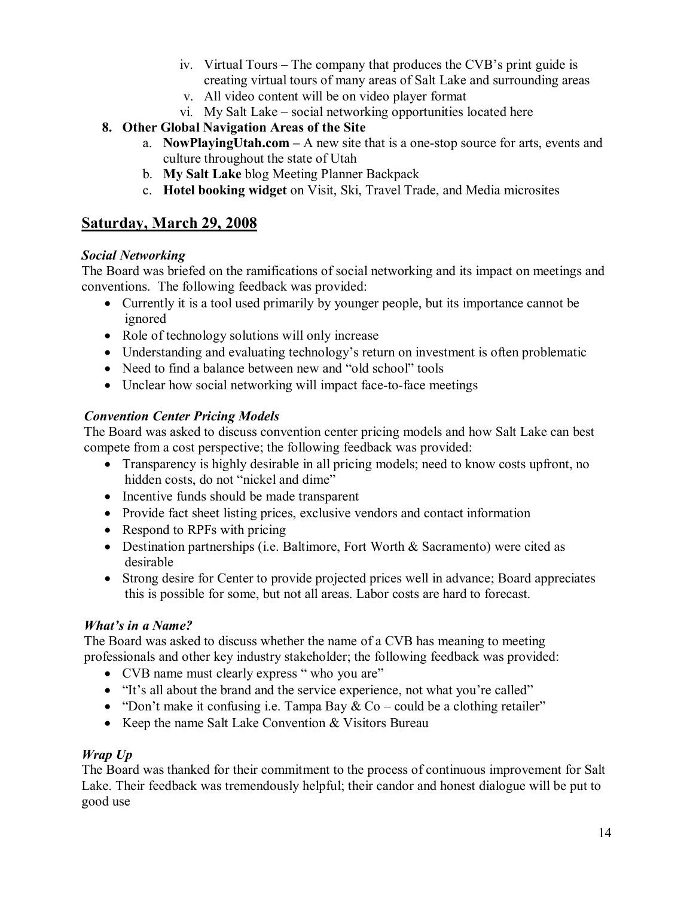- iv. Virtual Tours The company that produces the CVB's print guide is creating virtual tours of many areas of Salt Lake and surrounding areas
- v. All video content will be on video player format
- vi. My Salt Lake social networking opportunities located here
- **8. Other Global Navigation Areas of the Site**
	- a. **NowPlayingUtah.com –** A new site that is a onestop source for arts, events and culture throughout the state of Utah
	- b. **My Salt Lake** blog Meeting Planner Backpack
	- c. **Hotel booking widget** on Visit, Ski, Travel Trade, and Media microsites

# **Saturday, March 29, 2008**

### *Social Networking*

The Board was briefed on the ramifications of social networking and its impact on meetings and conventions. The following feedback was provided:

- Currently it is a tool used primarily by younger people, but its importance cannot be ignored
- Role of technology solutions will only increase
- · Understanding and evaluating technology's return on investment is often problematic
- Need to find a balance between new and "old school" tools
- Unclear how social networking will impact face-to-face meetings

### *Convention Center Pricing Models*

The Board was asked to discuss convention center pricing models and how Salt Lake can best compete from a cost perspective; the following feedback was provided:

- Transparency is highly desirable in all pricing models; need to know costs upfront, no hidden costs, do not "nickel and dime"
- Incentive funds should be made transparent
- Provide fact sheet listing prices, exclusive vendors and contact information
- Respond to RPFs with pricing
- Destination partnerships (i.e. Baltimore, Fort Worth & Sacramento) were cited as desirable
- Strong desire for Center to provide projected prices well in advance; Board appreciates this is possible for some, but not all areas. Labor costs are hard to forecast.

### *What's in a Name?*

The Board was asked to discuss whether the name of a CVB has meaning to meeting professionals and other key industry stakeholder; the following feedback was provided:

- CVB name must clearly express " who you are"
- · "It's all about the brand and the service experience, not what you're called"
- "Don't make it confusing i.e. Tampa Bay  $& Co \text{could be a clothing retailer" }$
- Keep the name Salt Lake Convention & Visitors Bureau

### *Wrap Up*

The Board was thanked for their commitment to the process of continuous improvement for Salt Lake. Their feedback was tremendously helpful; their candor and honest dialogue will be put to good use